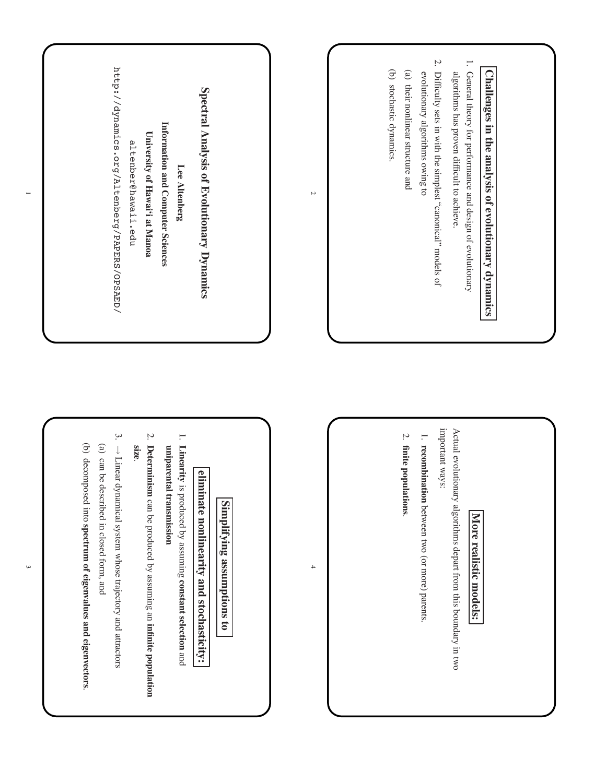

 $\overline{\phantom{0}}$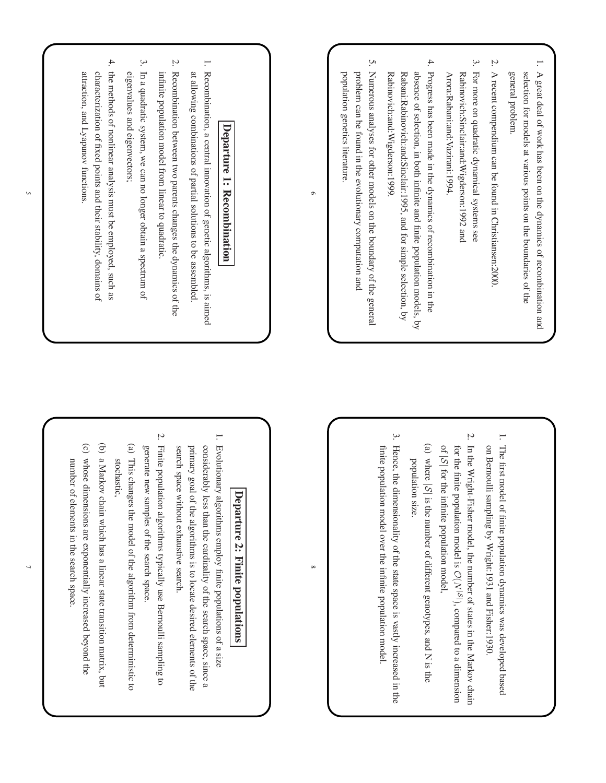

dynamics

and

ቧ states in the

 $\mathcal{O}(N)$ 

|S| ), compared

genotypes,

space is vastly

population

model.

increased

in the and N is the

to a

dimension

Markov

chain

Fisher:1930.

was

developed

based

**p o p ulatio**

populations

of the

locate

use

space.

algorith m

state

transition

increased

space.

beyond

the

matrix,

but

from

deterministic

to

Bernoulli

sampling

to

desired

elements

of the search

space,

since a

of a size

**ns**

5

 $\overline{2}$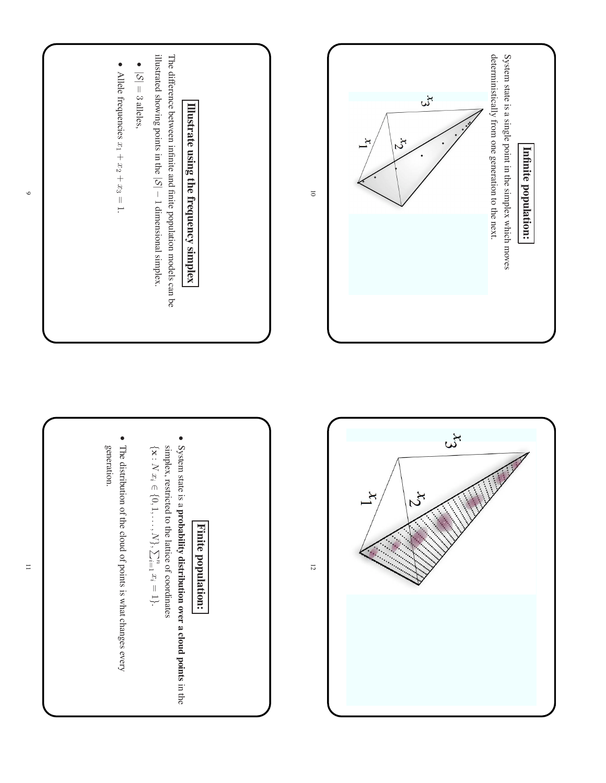





 $\Xi$ 

 $\circ$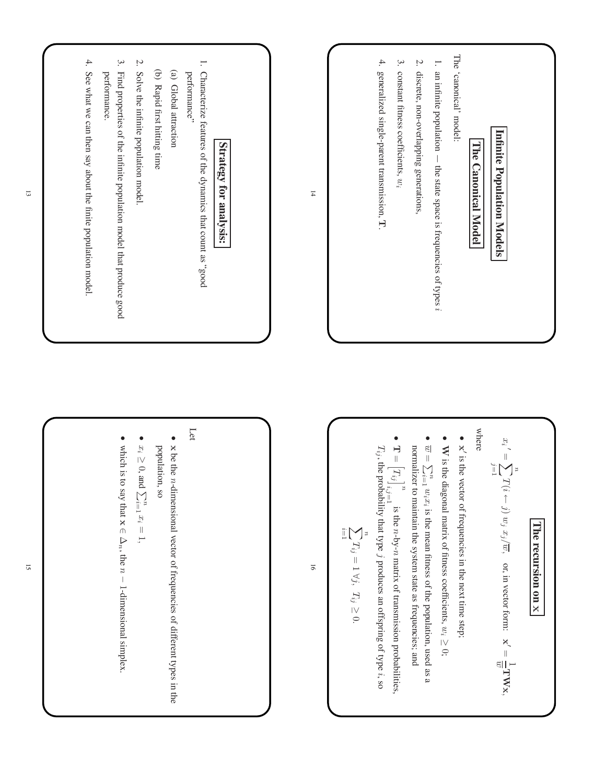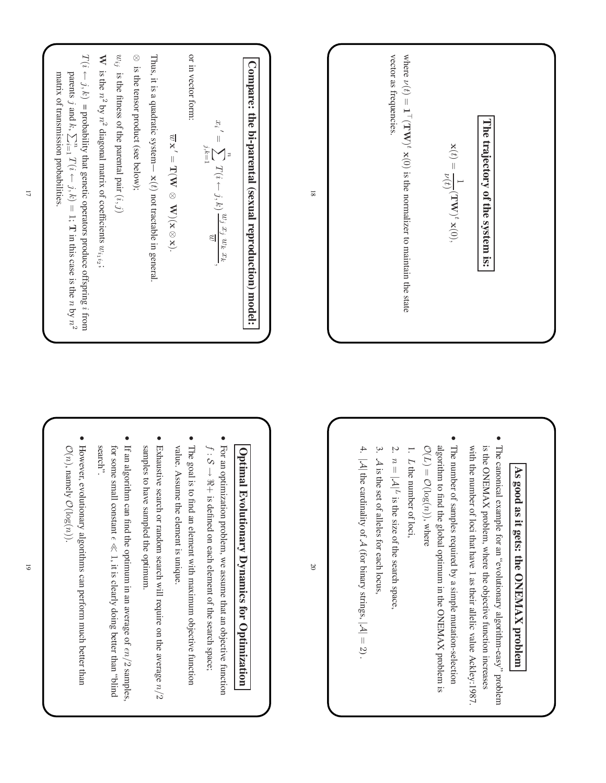

## **As g o o d as it g ets: th e O**  $\bf{K}$ **A X b**<br> **r**

**m**

- T he canonical example for an "evolutionary algorith m-easy" problem is the O N E M A X problem, w here the objective function increases with the number of loci that have 1 as their allelic value Ackley:1987.
- T he number of samples required by a simple mutation-selection algorith m to find the global optimum in the O N E M A X problem is  $\mathcal{O}(L) =$ O $(\log(n))$ , where
- 1. L the number of loci,
- با n  $|\overline{\mathcal{A}}|^L$ is the size ቧ the search space,
- ب  $\approx$ is the set of alleles for each locus,
- |A| the cardinality q  $\prec$ (for binary strings, |A|  $= 2$ .

4.

20

## **O ptim al Evolutionary Dynamics fo r O ptimiz atio n**

For an optimization problem, we assume that an objective function f : S → ر<br>+<br>+ is defined on each element of the search space;

•

- T he goal is to find an element with maximum objective function value. Assume the element is unique.
- Exhaustive search or random search will require on the average  $n/2$ samples to have sampled the optimum.

•

- $\Xi$ an algorith m can find the optimum in an average of  $en/2$  samples, for some small constant  $\epsilon \ll 1$ , it is clearly doing better than puild., search".
- However, evolutionary algorith ms can perform mch better than  $\mathcal{O}(n)$ , namely O $(\log(n)).$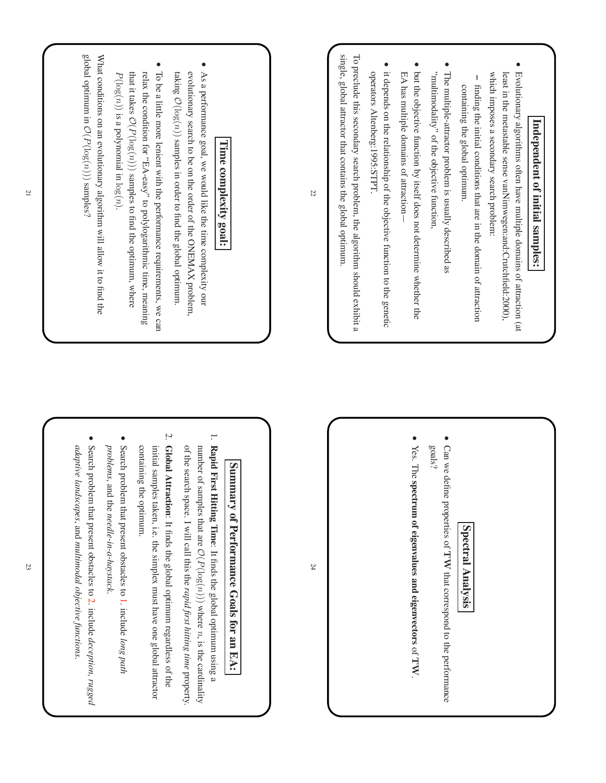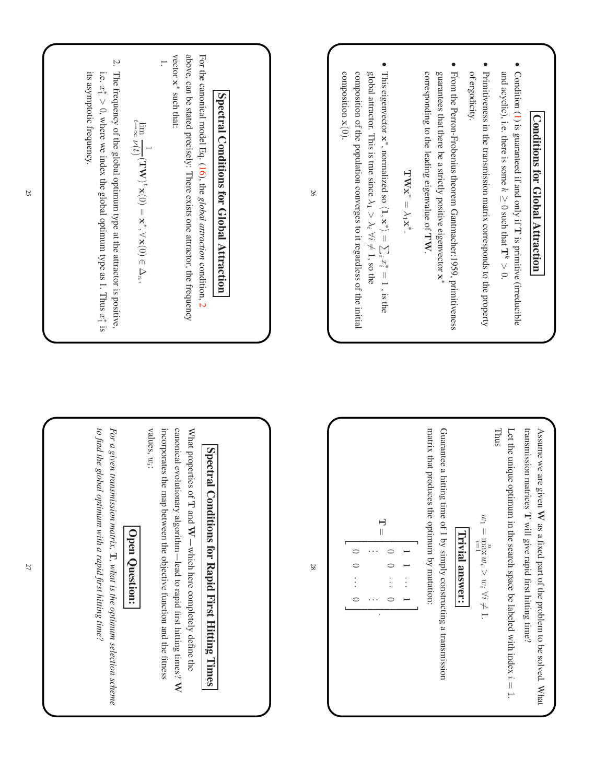

•

and

•

of

• From the

guarantees

• T his

global

Condition

 $\leqslant$ hat

2. T he frequency of the global optimum type  $\Xi$ the attractor is positive, i.e.  $x_1^* > 0$ , where we index the global optimum type as 1. Thus *x*<sup>†</sup> is its asymptotic frequency.

For the

above,

can be

vector x∗ such

1.

*For a given transmission matrix,*  $\mathbf{T}$ , what *is the optimum selection to find the global optimum with a rapid first hitting time?*

W

*scheme*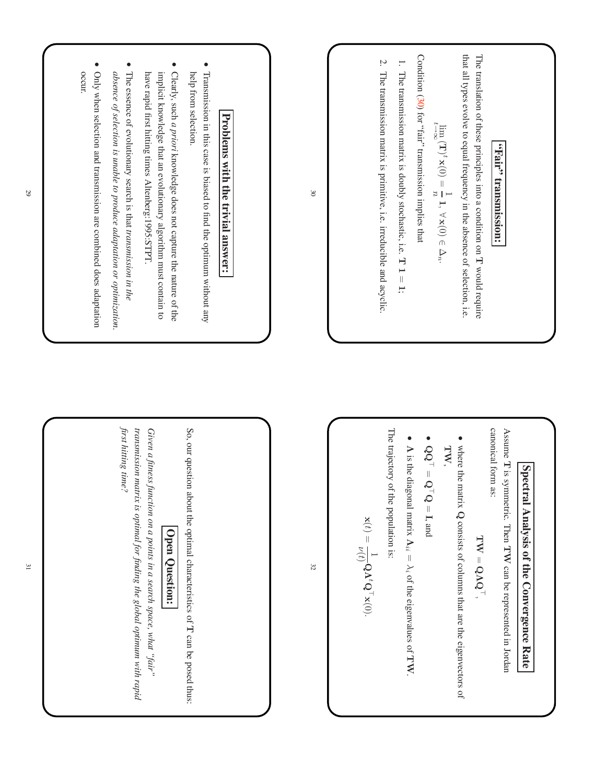

of

thus:

*rapid*

29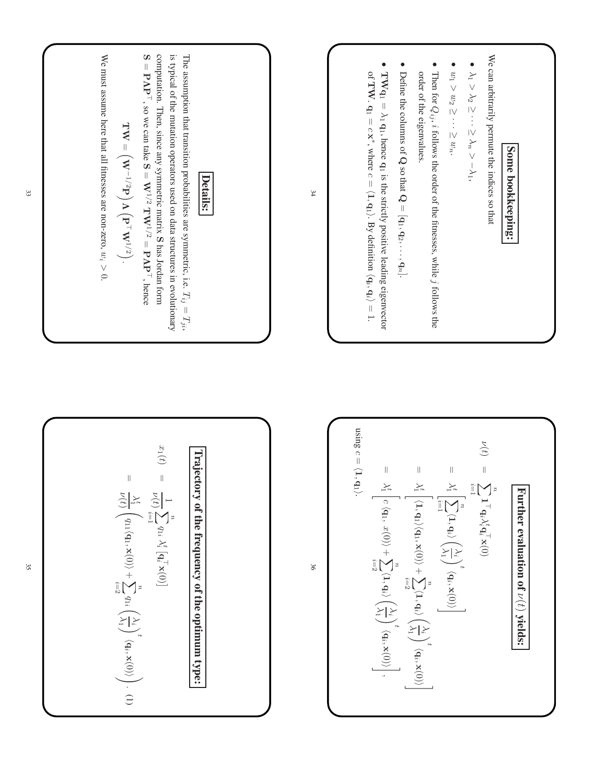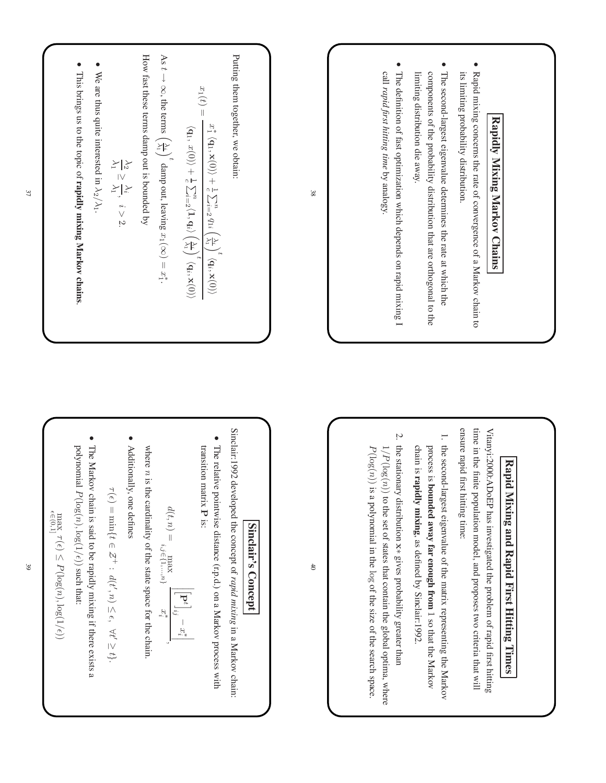**Expid mixing coordinate Markov Chainis**  
\n**Expid mixing geometric Markov of a Markov chain to  
\nthe second-lingus eigenvalue determines the rate at which the  
\n
$$
\bullet
$$
 **Expid mixing, **Maxwell's Maxwell's Maxwell's Maxwell's Maxwell's Maxwell's Maxwell's Maxwell's Maxwell's Maxwell's Maxwell's Maxwell's Maxwell's Maxwell's Maxwell's Maxwell's Maxwell's Maxwell's Maxwell's Maxwell's Maxwell's Maxwell's Maxwell's Maxwell's Maxwell's Maxwell's Maxwell's Maxwell's Maxwell's Maxwell's Maxwell's Maxwell's Maxwell's Maxwell's Maxwell's Maxwell's Maxwell's Maxwell's Maxwell's Maxwell's Maxwell's Maxwell's Maxwell's Maxwell's Maxwell's Maxwell's Maxwell's Maxwell's Maxwell's Maxwell's Maxwell's Maxwell's Maxwell's Maxwell's Maxwell's Maxwell's Maxwell's Maxwell's Maxwell's Maxwell's Maxwell's Maxwell's Maxwell's Maxwell's Maxwell's Maxwell's Maxwell's Maxwell's Maxwell's Maxwell's Maxwell's Maxwell's Maxwell's Maxwell's Maxwell's Maxwell's Maxwell's Maxwell******

**Sin**

**a n d**

investigated

model,

time:

eigenvalue

**away far**

**enough**

defined

x∗ gives

set of states that

in the log of the size of the

probability

contain

the

global

optima,

search

space.

w here

greater

than

 $\mathbf{\hat{s}}$ 

Sinclair:1992.

**from** 1 so

that the

Markov

of the

matrix

representing

the

Markov

and

proposes

two

criteria

that will the

problem

of rapid first

hitting

**R a pid**

**First**

**Hittin g**

**Tim es**

**clair's**

40

**Concept** 

limit-1992 developed the concept of *rapid mixing* in a Markov chain

\nThe relative pointwise distance 
$$
(\text{r.p.d})
$$
 on a Markov process with

\ntransition matrix **P** is:

\n
$$
d(t, n) = \max_{i,j \in \{1, \ldots, n\}} \left| \left[ \mathbf{P}^t \right]_{ij} - x_i^* \right|
$$
\nwhere *n* is the cardinality of the state space for the chain.

\nAdditionally, one defines

\n
$$
\tau(\epsilon) = \min \{ t \in \mathcal{Z}^+ : d(t', n) \le \epsilon, \forall t' \ge t \}.
$$
\nThe Markov chain is said to be rapidly mixing if there exists a polynomial  $P(\log(n), \log(1/\epsilon))$  such that:

 $P(\log(n), \log(1/\epsilon))$ 

37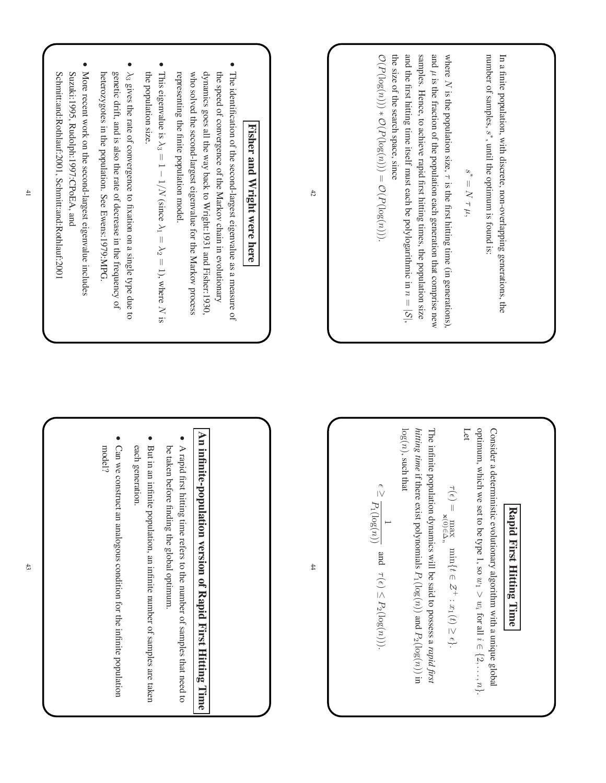| $\bullet$<br>dynamics goes all the way back to Wright:1931 and Fisher:1930,<br>The identification of the second-largest eigenvalue as a measure of<br>genetic drift, and is also the rate of decrease in the frequency of<br>representing the finite population model.<br>More recent work on the second-largest eigenvalue includes<br>the population size<br>This eigenvalue is $\lambda_3 = 1 - 1/N$ (since $\lambda_1 = \lambda_2 = 1$ ), where N is<br>who solved the second-largest eigenvalue for the Markov process<br>the speed of convergence of the Markov chain in evolutionary<br>heterozygotes in the population. See Ewens:1979:MPG<br>$\lambda_3$ gives the rate of convergence to fixation on a single type due to<br>Fisher<br>and<br>Wright were here | 42 | the size of the search space, since<br>number of samples, $s^*$ , until the optimum is found is:<br>$\mathcal{O}(P(\log(n))) * \mathcal{O}(P(\log(n))) = \mathcal{O}(P(\log(n))).$<br>and the first hitting time itself must each be polylogarithmic in $n =  \mathcal{S} $ ,<br>samples. Hence, to achieve rapid first hitting times, the population size<br>and $\mu$ is the fraction of the population each generation that comprise new<br>where $N$ is the population size, $\tau$ is the first hitting time (in generations),<br>In a finite population, with discrete, non-overlapping generations, the<br>$\mathcal{S}^*$<br>$= N \tau \, \mu,$ |
|--------------------------------------------------------------------------------------------------------------------------------------------------------------------------------------------------------------------------------------------------------------------------------------------------------------------------------------------------------------------------------------------------------------------------------------------------------------------------------------------------------------------------------------------------------------------------------------------------------------------------------------------------------------------------------------------------------------------------------------------------------------------------|----|---------------------------------------------------------------------------------------------------------------------------------------------------------------------------------------------------------------------------------------------------------------------------------------------------------------------------------------------------------------------------------------------------------------------------------------------------------------------------------------------------------------------------------------------------------------------------------------------------------------------------------------------------------|
| An infinite-population version of Rapid First Hitting Time<br>Can we construct an analogous condition for the infinite population<br>But in an infinite population, an infinite number of samples are taken<br>each generation.<br>A rapid first hitting time refers to the number of samples that need to<br>model?<br>be taken before finding the global optimum.                                                                                                                                                                                                                                                                                                                                                                                                      | #  | optimum, which<br>$\log(n)$ , such that<br>hitting time if there exist polynomials $P_1(\log(n))$ and $P_2(\log(n))$ in<br>Let<br>Consider a deterministic evolutionary algorithm with a unique global<br>The infinite population dynamics will be said to possess a rapid first<br>$\curvearrowright$<br>$\tau(\epsilon)=$<br>$\geq \frac{\zeta}{P_1(\log(n))} \quad \text{and} \quad \tau(\epsilon) \leq P_2(\log(n))).$<br>we set to be type 1, so $w_1 > w_i$ for all $i \in \{2, , n\}$ .<br>Rapid First Hitting Time<br>$\label{eq:optimal} \max\limits_{\mathbf{x}(0)\in\Delta_n}\min\{t\in\mathcal{Z}^+: x_1(t)\geq \epsilon\}.$                |

Suzuki:1995,

Sch

mitt:and:Rothlauf:2001,

Sch

mitt:and:Rothlauf:2001

Rudolph:1997:C

 $_{\rm{PoE}}$ A, and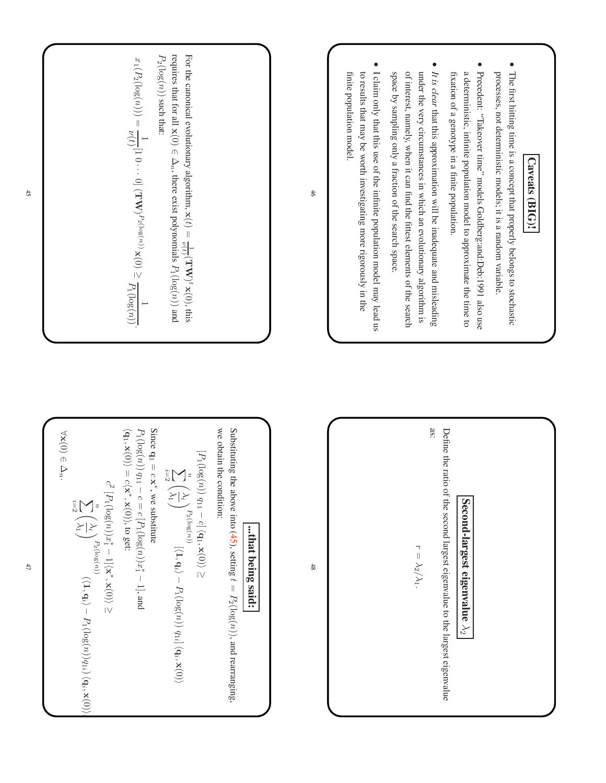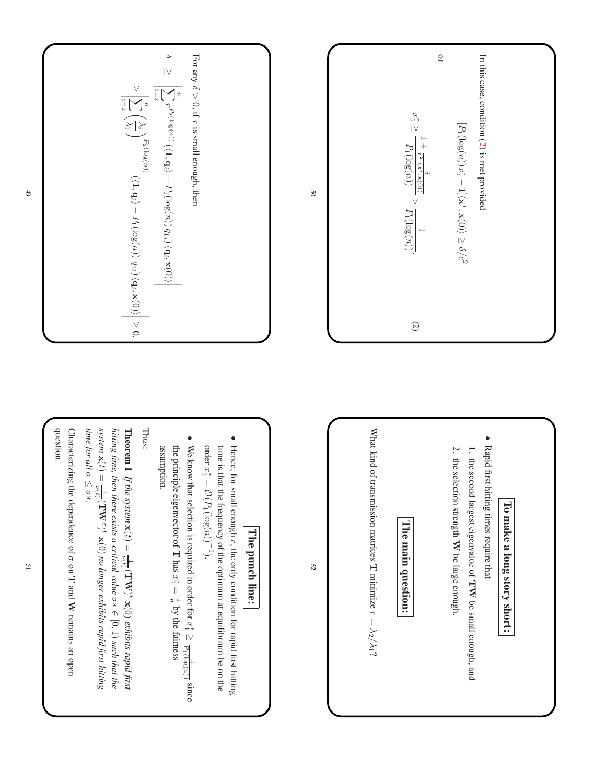



## **l l l e p unch lin e:**

Hence, for small enough  $r$ , the only condition for rapid first hitting time is that the frequency ቧ the optimum  $\overline{\varepsilon}$ equilibrium be on the order  $x_1^* =$  $\mathcal{O}(P_1$  $(\log(n))^{-1}$ ).

•

• assumption. the We assumption. principle know that eigenvector selection is of required н  $\text{has } x_1^* =$ in. order  $\frac{u}{\Gamma}$ for  $x_1^* \geq$ the fairness P1  $(\log(n))$  $\overline{\phantom{0}}$ since

## T hus:

**T heorem 1** *If the system*  $\mathbf{x}(t) =$  $\frac{1}{\sqrt{t}}(\mathbf{TV})^t\mathbf{x}(0)$ *exhibits rapid first hitting time, then there exists a critical value* ο¥<br>⊂  $[0, 1)$ *such that the system*  $\mathbf{x}(t) =$  $\frac{1}{\nu(t)}(\text{TW}^{\sigma})^t$  x(0) *no longer exhibits rapid first hitting time for all* σ ≤ σ∗*.*

೧ haracterizing the dependence of σ on ⊣ and W remains an open question.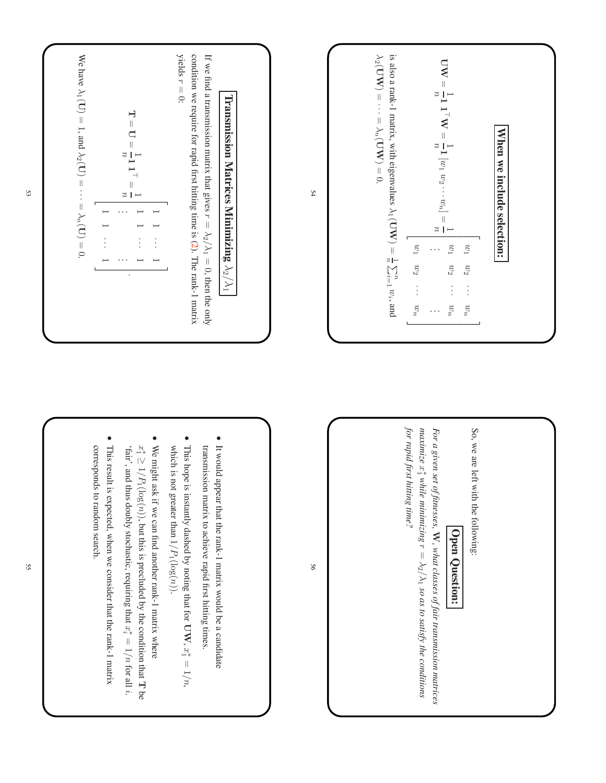

So, we are left with the following:  
\nSo, we are left with the following:  
\n
$$
\boxed{\text{Open Question:}\n \text{Question:}\n \text{for a given set of fitnesss. } \mathbf{W}, \text{ what classes of fair transmission matrices}\n \text{for rapid first hitting time?}\n \text{for rapid first hitting time?}
$$

*matrices*

*the*

*conditions*

56





- w hich is not greater than  $1/P_1$  $(\log(n)).$
- We might ask  $\equiv$ we can find another rank-1 matrix w here  $x_1^* \geq 1/P_1$  $(\log(n))$ , but this is precluded  $\mathbf{\hat{z}}$ the condition that  $\mathord{\text{--}}$ be 'fair', and thus doubly stochastic, requiring that  $x_i^* = 1/n$ for all i.

•

• T his result is expected, w hen we consider that the rank-1 matrix corresponds to random search.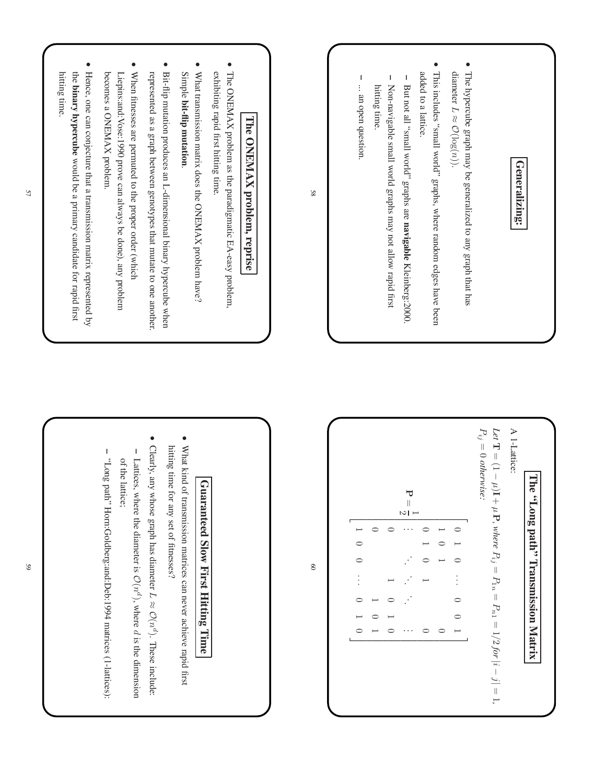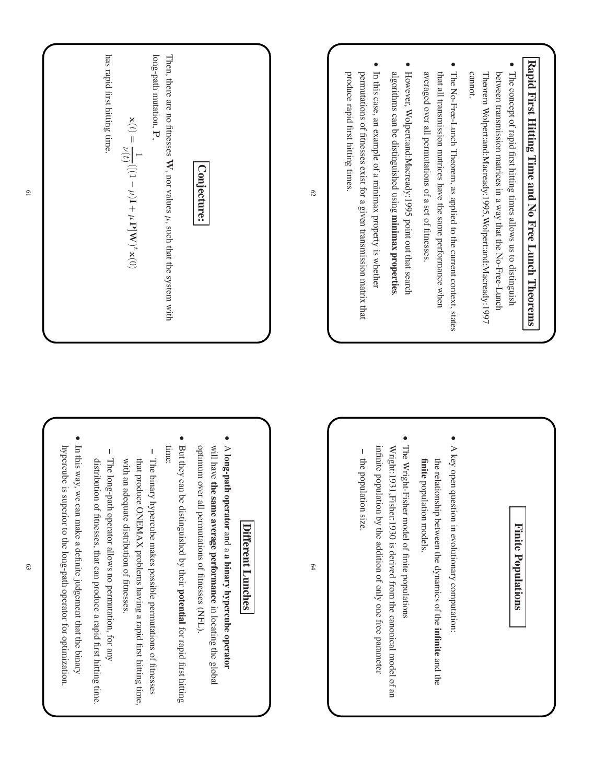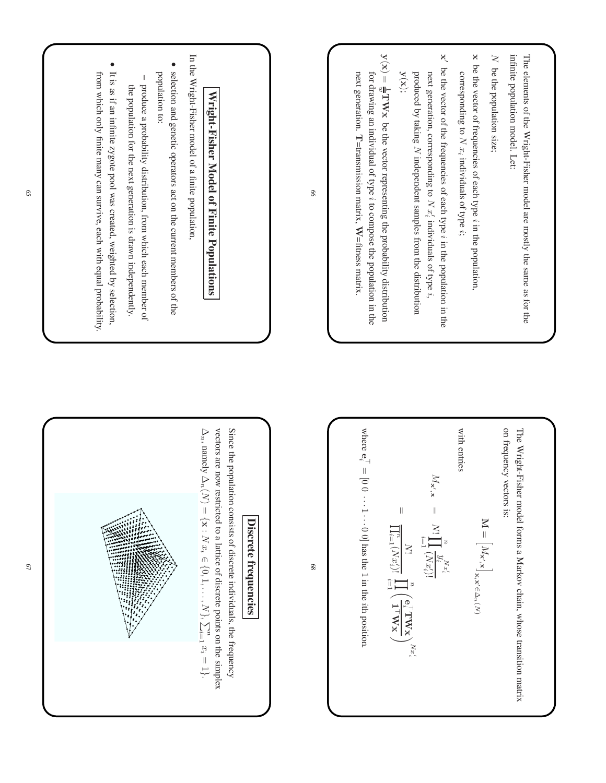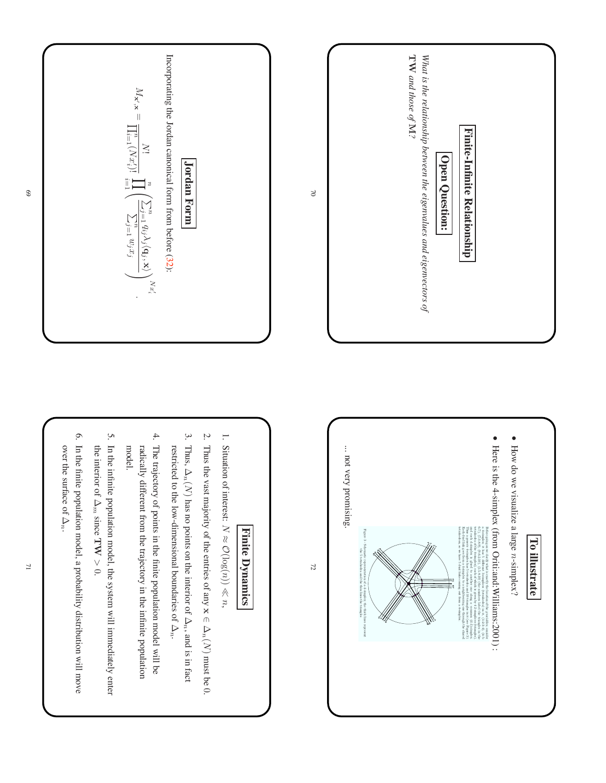